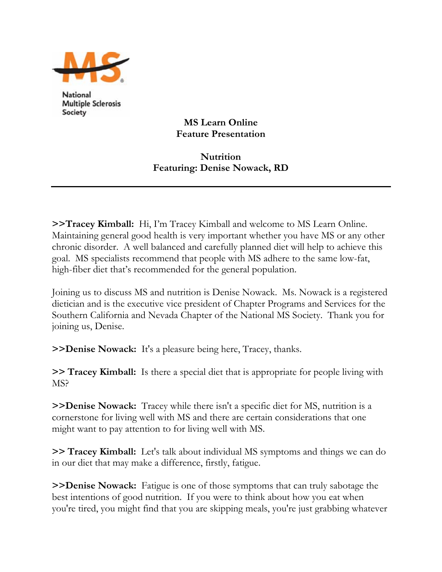

National **Multiple Sclerosis** Society

**MS Learn Online Feature Presentation** 

## **Nutrition Featuring: Denise Nowack, RD**

**>>Tracey Kimball:** Hi, I'm Tracey Kimball and welcome to MS Learn Online. Maintaining general good health is very important whether you have MS or any other chronic disorder. A well balanced and carefully planned diet will help to achieve this goal. MS specialists recommend that people with MS adhere to the same low-fat, high-fiber diet that's recommended for the general population.

Joining us to discuss MS and nutrition is Denise Nowack. Ms. Nowack is a registered dietician and is the executive vice president of Chapter Programs and Services for the Southern California and Nevada Chapter of the National MS Society. Thank you for joining us, Denise.

**>>Denise Nowack:** It's a pleasure being here, Tracey, thanks.

**>> Tracey Kimball:** Is there a special diet that is appropriate for people living with MS?

**>>Denise Nowack:** Tracey while there isn't a specific diet for MS, nutrition is a cornerstone for living well with MS and there are certain considerations that one might want to pay attention to for living well with MS.

**>> Tracey Kimball:** Let's talk about individual MS symptoms and things we can do in our diet that may make a difference, firstly, fatigue.

**>>Denise Nowack:** Fatigue is one of those symptoms that can truly sabotage the best intentions of good nutrition. If you were to think about how you eat when you're tired, you might find that you are skipping meals, you're just grabbing whatever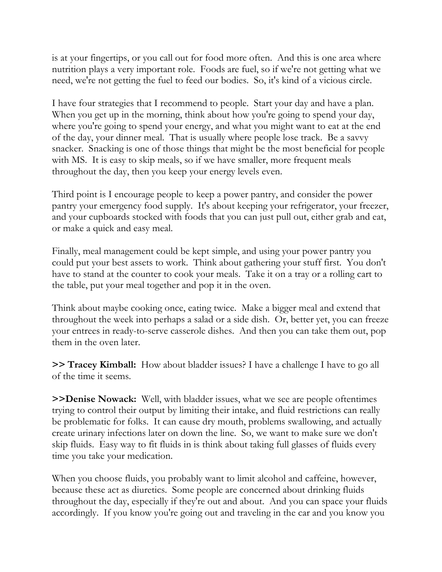is at your fingertips, or you call out for food more often. And this is one area where nutrition plays a very important role. Foods are fuel, so if we're not getting what we need, we're not getting the fuel to feed our bodies. So, it's kind of a vicious circle.

I have four strategies that I recommend to people. Start your day and have a plan. When you get up in the morning, think about how you're going to spend your day, where you're going to spend your energy, and what you might want to eat at the end of the day, your dinner meal. That is usually where people lose track. Be a savvy snacker. Snacking is one of those things that might be the most beneficial for people with MS. It is easy to skip meals, so if we have smaller, more frequent meals throughout the day, then you keep your energy levels even.

Third point is I encourage people to keep a power pantry, and consider the power pantry your emergency food supply. It's about keeping your refrigerator, your freezer, and your cupboards stocked with foods that you can just pull out, either grab and eat, or make a quick and easy meal.

Finally, meal management could be kept simple, and using your power pantry you could put your best assets to work. Think about gathering your stuff first. You don't have to stand at the counter to cook your meals. Take it on a tray or a rolling cart to the table, put your meal together and pop it in the oven.

Think about maybe cooking once, eating twice. Make a bigger meal and extend that throughout the week into perhaps a salad or a side dish. Or, better yet, you can freeze your entrees in ready-to-serve casserole dishes. And then you can take them out, pop them in the oven later.

**>> Tracey Kimball:** How about bladder issues? I have a challenge I have to go all of the time it seems.

**>>Denise Nowack:** Well, with bladder issues, what we see are people oftentimes trying to control their output by limiting their intake, and fluid restrictions can really be problematic for folks. It can cause dry mouth, problems swallowing, and actually create urinary infections later on down the line. So, we want to make sure we don't skip fluids. Easy way to fit fluids in is think about taking full glasses of fluids every time you take your medication.

When you choose fluids, you probably want to limit alcohol and caffeine, however, because these act as diuretics. Some people are concerned about drinking fluids throughout the day, especially if they're out and about. And you can space your fluids accordingly. If you know you're going out and traveling in the car and you know you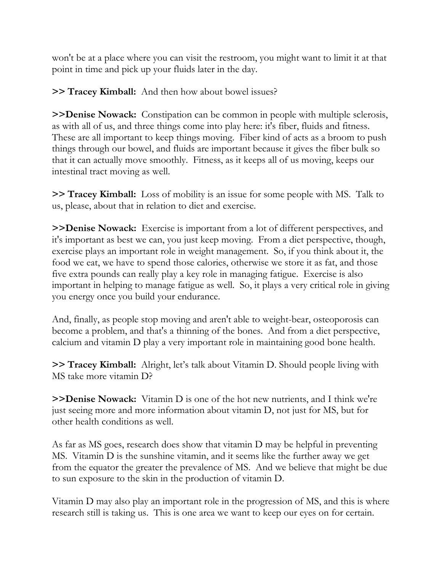won't be at a place where you can visit the restroom, you might want to limit it at that point in time and pick up your fluids later in the day.

**>> Tracey Kimball:** And then how about bowel issues?

**>>Denise Nowack:** Constipation can be common in people with multiple sclerosis, as with all of us, and three things come into play here: it's fiber, fluids and fitness. These are all important to keep things moving. Fiber kind of acts as a broom to push things through our bowel, and fluids are important because it gives the fiber bulk so that it can actually move smoothly. Fitness, as it keeps all of us moving, keeps our intestinal tract moving as well.

**>> Tracey Kimball:** Loss of mobility is an issue for some people with MS. Talk to us, please, about that in relation to diet and exercise.

**>>Denise Nowack:** Exercise is important from a lot of different perspectives, and it's important as best we can, you just keep moving. From a diet perspective, though, exercise plays an important role in weight management. So, if you think about it, the food we eat, we have to spend those calories, otherwise we store it as fat, and those five extra pounds can really play a key role in managing fatigue. Exercise is also important in helping to manage fatigue as well. So, it plays a very critical role in giving you energy once you build your endurance.

And, finally, as people stop moving and aren't able to weight-bear, osteoporosis can become a problem, and that's a thinning of the bones. And from a diet perspective, calcium and vitamin D play a very important role in maintaining good bone health.

**>> Tracey Kimball:** Alright, let's talk about Vitamin D. Should people living with MS take more vitamin D?

**>>Denise Nowack:** Vitamin D is one of the hot new nutrients, and I think we're just seeing more and more information about vitamin D, not just for MS, but for other health conditions as well.

As far as MS goes, research does show that vitamin D may be helpful in preventing MS. Vitamin D is the sunshine vitamin, and it seems like the further away we get from the equator the greater the prevalence of MS. And we believe that might be due to sun exposure to the skin in the production of vitamin D.

Vitamin D may also play an important role in the progression of MS, and this is where research still is taking us. This is one area we want to keep our eyes on for certain.